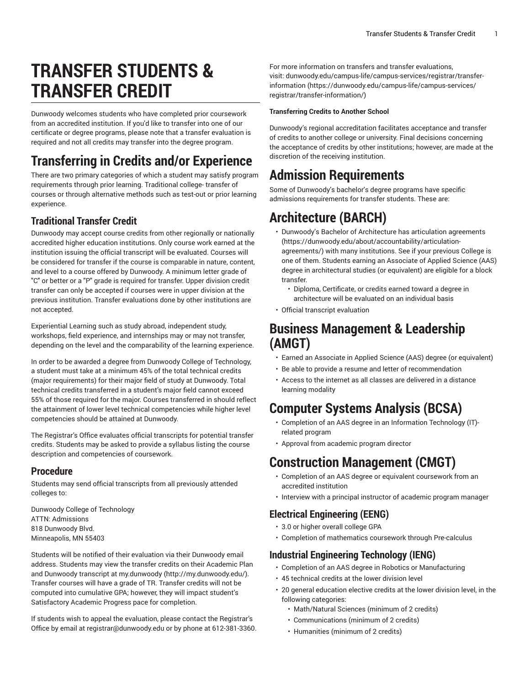# **TRANSFER STUDENTS & TRANSFER CREDIT**

Dunwoody welcomes students who have completed prior coursework from an accredited institution. If you'd like to transfer into one of our certificate or degree programs, please note that a transfer evaluation is required and not all credits may transfer into the degree program.

## **Transferring in Credits and/or Experience**

There are two primary categories of which a student may satisfy program requirements through prior learning. Traditional college- transfer of courses or through alternative methods such as test-out or prior learning experience.

## **Traditional Transfer Credit**

Dunwoody may accept course credits from other regionally or nationally accredited higher education institutions. Only course work earned at the institution issuing the official transcript will be evaluated. Courses will be considered for transfer if the course is comparable in nature, content, and level to a course offered by Dunwoody. A minimum letter grade of "C" or better or a "P" grade is required for transfer. Upper division credit transfer can only be accepted if courses were in upper division at the previous institution. Transfer evaluations done by other institutions are not accepted.

Experiential Learning such as study abroad, independent study, workshops, field experience, and internships may or may not transfer, depending on the level and the comparability of the learning experience.

In order to be awarded a degree from Dunwoody College of Technology, a student must take at a minimum 45% of the total technical credits (major requirements) for their major field of study at Dunwoody. Total technical credits transferred in a student's major field cannot exceed 55% of those required for the major. Courses transferred in should reflect the attainment of lower level technical competencies while higher level competencies should be attained at Dunwoody.

The Registrar's Office evaluates official transcripts for potential transfer credits. Students may be asked to provide a syllabus listing the course description and competencies of coursework.

### **Procedure**

Students may send official transcripts from all previously attended colleges to:

Dunwoody College of Technology ATTN: Admissions 818 Dunwoody Blvd. Minneapolis, MN 55403

Students will be notified of their evaluation via their Dunwoody email address. Students may view the transfer credits on their Academic Plan and Dunwoody transcript at [my.dunwoody](http://my.dunwoody.edu/) (<http://my.dunwoody.edu/>). Transfer courses will have a grade of TR. Transfer credits will not be computed into cumulative GPA; however, they will impact student's Satisfactory Academic Progress pace for completion.

If students wish to appeal the evaluation, please contact the Registrar's Office by email at [registrar@dunwoody.edu](mailto:registrar@dunwoody.edu) or by phone at 612-381-3360.

For more information on transfers and transfer evaluations, visit: [dunwoody.edu/campus-life/campus-services/registrar/transfer](https://dunwoody.edu/campus-life/campus-services/registrar/transfer-information/)[information](https://dunwoody.edu/campus-life/campus-services/registrar/transfer-information/) ([https://dunwoody.edu/campus-life/campus-services/](https://dunwoody.edu/campus-life/campus-services/registrar/transfer-information/) [registrar/transfer-information/\)](https://dunwoody.edu/campus-life/campus-services/registrar/transfer-information/)

#### **Transferring Credits to Another School**

Dunwoody's regional accreditation facilitates acceptance and transfer of credits to another college or university. Final decisions concerning the acceptance of credits by other institutions; however, are made at the discretion of the receiving institution.

## **Admission Requirements**

Some of Dunwoody's bachelor's degree programs have specific admissions requirements for transfer students. These are:

## **Architecture (BARCH)**

- Dunwoody's Bachelor of Architecture has articulation [agreements](https://dunwoody.edu/about/accountability/articulation-agreements/) [\(https://dunwoody.edu/about/accountability/articulation](https://dunwoody.edu/about/accountability/articulation-agreements/)[agreements/](https://dunwoody.edu/about/accountability/articulation-agreements/)) with many institutions. See if your previous College is one of them. Students earning an Associate of Applied Science (AAS) degree in architectural studies (or equivalent) are eligible for a block transfer.
	- Diploma, Certificate, or credits earned toward a degree in architecture will be evaluated on an individual basis
- Official transcript evaluation

## **Business Management & Leadership (AMGT)**

- Earned an Associate in Applied Science (AAS) degree (or equivalent)
- Be able to provide a resume and letter of recommendation
- Access to the internet as all classes are delivered in a distance learning modality

## **Computer Systems Analysis (BCSA)**

- Completion of an AAS degree in an Information Technology (IT) related program
- Approval from academic program director

## **Construction Management (CMGT)**

- Completion of an AAS degree or equivalent coursework from an accredited institution
- Interview with a principal instructor of academic program manager

### **Electrical Engineering (EENG)**

- 3.0 or higher overall college GPA
- Completion of mathematics coursework through Pre-calculus

### **Industrial Engineering Technology (IENG)**

- Completion of an AAS degree in Robotics or Manufacturing
- 45 technical credits at the lower division level
- 20 general education elective credits at the lower division level, in the following categories:
	- Math/Natural Sciences (minimum of 2 credits)
	- Communications (minimum of 2 credits)
	- Humanities (minimum of 2 credits)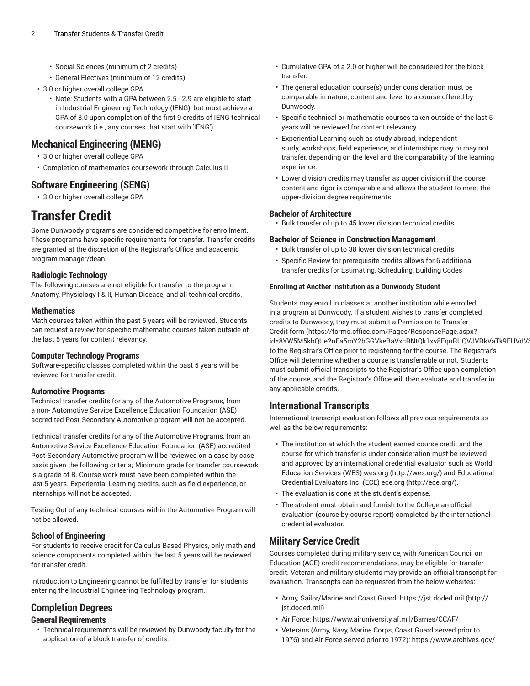- Social Sciences (minimum of 2 credits)
- General Electives (minimum of 12 credits)
- 3.0 or higher overall college GPA
	- Note: Students with a GPA between 2.5 2.9 are eligible to start in Industrial Engineering Technology (IENG), but must achieve a GPA of 3.0 upon completion of the first 9 credits of IENG technical coursework (i.e., any courses that start with 'IENG').

### **Mechanical Engineering (MENG)**

- 3.0 or higher overall college GPA
- Completion of mathematics coursework through Calculus II

### **Software Engineering (SENG)**

• 3.0 or higher overall college GPA

## **Transfer Credit**

Some Dunwoody programs are considered competitive for enrollment. These programs have specific requirements for transfer. Transfer credits are granted at the discretion of the Registrar's Office and academic program manager/dean.

#### **Radiologic Technology**

The following courses are not eligible for transfer to the program: Anatomy, Physiology I & II, Human Disease, and all technical credits.

#### **Mathematics**

Math courses taken within the past 5 years will be reviewed. Students can request a review for specific mathematic courses taken outside of the last 5 years for content relevancy.

#### **Computer Technology Programs**

Software-specific classes completed within the past 5 years will be reviewed for transfer credit.

#### **Automotive Programs**

Technical transfer credits for any of the Automotive Programs, from a non- Automotive Service Excellence Education Foundation (ASE) accredited Post-Secondary Automotive program will not be accepted.

Technical transfer credits for any of the Automotive Programs, from an Automotive Service Excellence Education Foundation (ASE) accredited Post-Secondary Automotive program will be reviewed on a case by case basis given the following criteria; Minimum grade for transfer coursework is a grade of B. Course work must have been completed within the last 5 years. Experiential Learning credits, such as field experience, or internships will not be accepted.

Testing Out of any technical courses within the Automotive Program will not be allowed.

#### **School of Engineering**

For students to receive credit for Calculus Based Physics, only math and science components completed within the last 5 years will be reviewed for transfer credit.

Introduction to Engineering cannot be fulfilled by transfer for students entering the Industrial Engineering Technology program.

### **Completion Degrees**

#### **General Requirements**

• Technical requirements will be reviewed by Dunwoody faculty for the application of a block transfer of credits.

- Cumulative GPA of a 2.0 or higher will be considered for the block transfer.
- The general education course(s) under consideration must be comparable in nature, content and level to a course offered by Dunwoody.
- Specific technical or mathematic courses taken outside of the last 5 years will be reviewed for content relevancy.
- Experiential Learning such as study abroad, independent study, workshops, field experience, and internships may or may not transfer, depending on the level and the comparability of the learning experience.
- Lower division credits may transfer as upper division if the course content and rigor is comparable and allows the student to meet the upper-division degree requirements.

#### **Bachelor of Architecture**

• Bulk transfer of up to 45 lower division technical credits

#### **Bachelor of Science in Construction Management**

- Bulk transfer of up to 38 lower division technical credits
- Specific Review for prerequisite credits allows for 6 additional transfer credits for Estimating, Scheduling, Building Codes

#### **Enrolling at Another Institution as a Dunwoody Student**

Students may enroll in classes at another institution while enrolled in a program at Dunwoody. If a student wishes to transfer completed credits to Dunwoody, they must submit a [Permission](https://forms.office.com/Pages/ResponsePage.aspx?id=8YW5M5kbQUe2nEa5mY2bGGVkeBaVxcRNtQk1xv8EqnRUQVJVRkVaTk9EUVdVSk1aQVlRNFgzTzk1OCQlQCN0PWcu) to Transfer [Credit](https://forms.office.com/Pages/ResponsePage.aspx?id=8YW5M5kbQUe2nEa5mY2bGGVkeBaVxcRNtQk1xv8EqnRUQVJVRkVaTk9EUVdVSk1aQVlRNFgzTzk1OCQlQCN0PWcu) form [\(https://forms.office.com/Pages/ResponsePage.aspx?](https://forms.office.com/Pages/ResponsePage.aspx?id=8YW5M5kbQUe2nEa5mY2bGGVkeBaVxcRNtQk1xv8EqnRUQVJVRkVaTk9EUVdVSk1aQVlRNFgzTzk1OCQlQCN0PWcu) id=8YW5M5kbQUe2nEa5mY2bGGVkeBaVxcRNtQk1xv8EqnRUQVJVRkVaTk9EUVdV to the Registrar's Office prior to registering for the course. The Registrar's Office will determine whether a course is transferrable or not. Students must submit official transcripts to the Registrar's Office upon completion of the course, and the Registrar's Office will then evaluate and transfer in any applicable credits.

### **International Transcripts**

International transcript evaluation follows all previous requirements as well as the below requirements:

- The institution at which the student earned course credit and the course for which transfer is under consideration must be reviewed and approved by an international credential evaluator such as World Education Services (WES) [wes.org \(http://wes.org/](http://wes.org/)) and Educational Credential Evaluators Inc. (ECE) [ece.org](http://ece.org/) (<http://ece.org/>).
- The evaluation is done at the student's expense.
- The student must obtain and furnish to the College an official evaluation (course-by-course report) completed by the international credential evaluator.

### **Military Service Credit**

Courses completed during military service, with American Council on Education (ACE) credit recommendations, may be eligible for transfer credit. Veteran and military students may provide an official transcript for evaluation. Transcripts can be requested from the below websites:

- Army, Sailor/Marine and Coast Guard: [https://jst.doded.mil](http://jst.doded.mil) ([http://](http://jst.doded.mil) [jst.doded.mil](http://jst.doded.mil))
- Air Force: <https://www.airuniversity.af.mil/Barnes/CCAF/>
- Veterans (Army, Navy, Marine Corps, Coast Guard served prior to 1976) and Air Force served prior to 1972): [https://www.archives.gov/](https://www.archives.gov/veterans/military-service-records/)